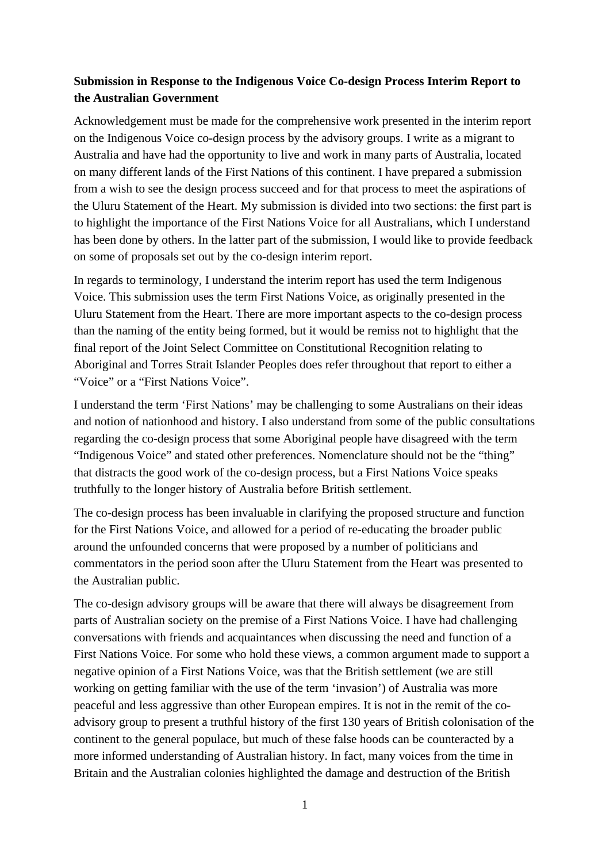# **Submission in Response to the Indigenous Voice Co-design Process Interim Report to the Australian Government**

Acknowledgement must be made for the comprehensive work presented in the interim report on the Indigenous Voice co-design process by the advisory groups. I write as a migrant to Australia and have had the opportunity to live and work in many parts of Australia, located on many different lands of the First Nations of this continent. I have prepared a submission from a wish to see the design process succeed and for that process to meet the aspirations of the Uluru Statement of the Heart. My submission is divided into two sections: the first part is to highlight the importance of the First Nations Voice for all Australians, which I understand has been done by others. In the latter part of the submission, I would like to provide feedback on some of proposals set out by the co-design interim report.

In regards to terminology, I understand the interim report has used the term Indigenous Voice. This submission uses the term First Nations Voice, as originally presented in the Uluru Statement from the Heart. There are more important aspects to the co-design process than the naming of the entity being formed, but it would be remiss not to highlight that the final report of the Joint Select Committee on Constitutional Recognition relating to Aboriginal and Torres Strait Islander Peoples does refer throughout that report to either a "Voice" or a "First Nations Voice".

I understand the term 'First Nations' may be challenging to some Australians on their ideas and notion of nationhood and history. I also understand from some of the public consultations regarding the co-design process that some Aboriginal people have disagreed with the term "Indigenous Voice" and stated other preferences. Nomenclature should not be the "thing" that distracts the good work of the co-design process, but a First Nations Voice speaks truthfully to the longer history of Australia before British settlement.

The co-design process has been invaluable in clarifying the proposed structure and function for the First Nations Voice, and allowed for a period of re-educating the broader public around the unfounded concerns that were proposed by a number of politicians and commentators in the period soon after the Uluru Statement from the Heart was presented to the Australian public.

The co-design advisory groups will be aware that there will always be disagreement from parts of Australian society on the premise of a First Nations Voice. I have had challenging conversations with friends and acquaintances when discussing the need and function of a First Nations Voice. For some who hold these views, a common argument made to support a negative opinion of a First Nations Voice, was that the British settlement (we are still working on getting familiar with the use of the term 'invasion') of Australia was more peaceful and less aggressive than other European empires. It is not in the remit of the coadvisory group to present a truthful history of the first 130 years of British colonisation of the continent to the general populace, but much of these false hoods can be counteracted by a more informed understanding of Australian history. In fact, many voices from the time in Britain and the Australian colonies highlighted the damage and destruction of the British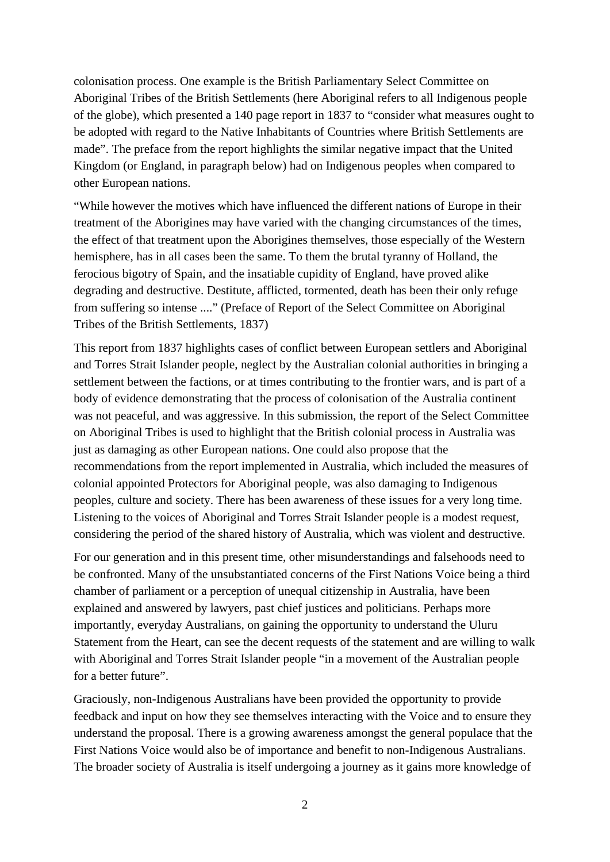colonisation process. One example is the British Parliamentary Select Committee on Aboriginal Tribes of the British Settlements (here Aboriginal refers to all Indigenous people of the globe), which presented a 140 page report in 1837 to "consider what measures ought to be adopted with regard to the Native Inhabitants of Countries where British Settlements are made". The preface from the report highlights the similar negative impact that the United Kingdom (or England, in paragraph below) had on Indigenous peoples when compared to other European nations.

"While however the motives which have influenced the different nations of Europe in their treatment of the Aborigines may have varied with the changing circumstances of the times, the effect of that treatment upon the Aborigines themselves, those especially of the Western hemisphere, has in all cases been the same. To them the brutal tyranny of Holland, the ferocious bigotry of Spain, and the insatiable cupidity of England, have proved alike degrading and destructive. Destitute, afflicted, tormented, death has been their only refuge from suffering so intense ...." (Preface of Report of the Select Committee on Aboriginal Tribes of the British Settlements, 1837)

This report from 1837 highlights cases of conflict between European settlers and Aboriginal and Torres Strait Islander people, neglect by the Australian colonial authorities in bringing a settlement between the factions, or at times contributing to the frontier wars, and is part of a body of evidence demonstrating that the process of colonisation of the Australia continent was not peaceful, and was aggressive. In this submission, the report of the Select Committee on Aboriginal Tribes is used to highlight that the British colonial process in Australia was just as damaging as other European nations. One could also propose that the recommendations from the report implemented in Australia, which included the measures of colonial appointed Protectors for Aboriginal people, was also damaging to Indigenous peoples, culture and society. There has been awareness of these issues for a very long time. Listening to the voices of Aboriginal and Torres Strait Islander people is a modest request, considering the period of the shared history of Australia, which was violent and destructive.

For our generation and in this present time, other misunderstandings and falsehoods need to be confronted. Many of the unsubstantiated concerns of the First Nations Voice being a third chamber of parliament or a perception of unequal citizenship in Australia, have been explained and answered by lawyers, past chief justices and politicians. Perhaps more importantly, everyday Australians, on gaining the opportunity to understand the Uluru Statement from the Heart, can see the decent requests of the statement and are willing to walk with Aboriginal and Torres Strait Islander people "in a movement of the Australian people for a better future".

Graciously, non-Indigenous Australians have been provided the opportunity to provide feedback and input on how they see themselves interacting with the Voice and to ensure they understand the proposal. There is a growing awareness amongst the general populace that the First Nations Voice would also be of importance and benefit to non-Indigenous Australians. The broader society of Australia is itself undergoing a journey as it gains more knowledge of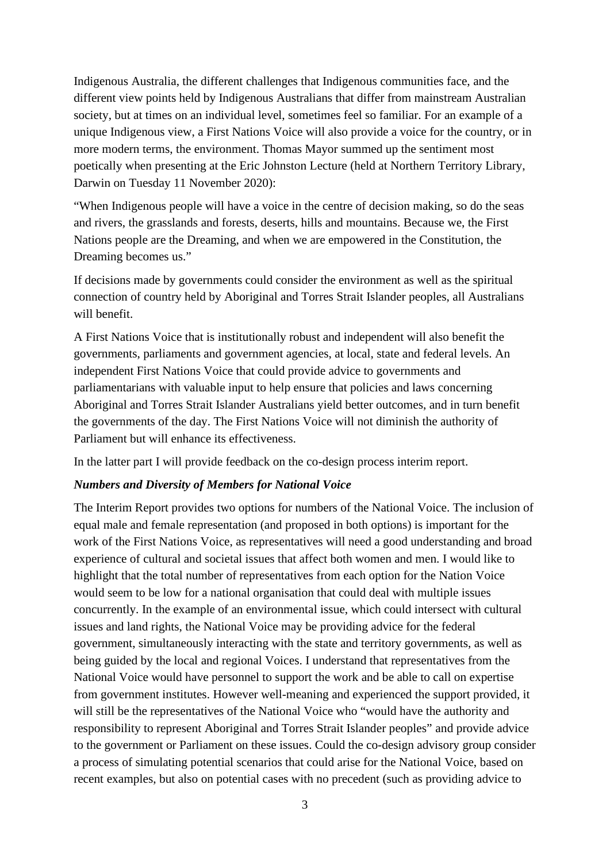Indigenous Australia, the different challenges that Indigenous communities face, and the different view points held by Indigenous Australians that differ from mainstream Australian society, but at times on an individual level, sometimes feel so familiar. For an example of a unique Indigenous view, a First Nations Voice will also provide a voice for the country, or in more modern terms, the environment. Thomas Mayor summed up the sentiment most poetically when presenting at the Eric Johnston Lecture (held at Northern Territory Library, Darwin on Tuesday 11 November 2020):

"When Indigenous people will have a voice in the centre of decision making, so do the seas and rivers, the grasslands and forests, deserts, hills and mountains. Because we, the First Nations people are the Dreaming, and when we are empowered in the Constitution, the Dreaming becomes us."

If decisions made by governments could consider the environment as well as the spiritual connection of country held by Aboriginal and Torres Strait Islander peoples, all Australians will benefit.

A First Nations Voice that is institutionally robust and independent will also benefit the governments, parliaments and government agencies, at local, state and federal levels. An independent First Nations Voice that could provide advice to governments and parliamentarians with valuable input to help ensure that policies and laws concerning Aboriginal and Torres Strait Islander Australians yield better outcomes, and in turn benefit the governments of the day. The First Nations Voice will not diminish the authority of Parliament but will enhance its effectiveness.

In the latter part I will provide feedback on the co-design process interim report.

#### *Numbers and Diversity of Members for National Voice*

The Interim Report provides two options for numbers of the National Voice. The inclusion of equal male and female representation (and proposed in both options) is important for the work of the First Nations Voice, as representatives will need a good understanding and broad experience of cultural and societal issues that affect both women and men. I would like to highlight that the total number of representatives from each option for the Nation Voice would seem to be low for a national organisation that could deal with multiple issues concurrently. In the example of an environmental issue, which could intersect with cultural issues and land rights, the National Voice may be providing advice for the federal government, simultaneously interacting with the state and territory governments, as well as being guided by the local and regional Voices. I understand that representatives from the National Voice would have personnel to support the work and be able to call on expertise from government institutes. However well-meaning and experienced the support provided, it will still be the representatives of the National Voice who "would have the authority and responsibility to represent Aboriginal and Torres Strait Islander peoples" and provide advice to the government or Parliament on these issues. Could the co-design advisory group consider a process of simulating potential scenarios that could arise for the National Voice, based on recent examples, but also on potential cases with no precedent (such as providing advice to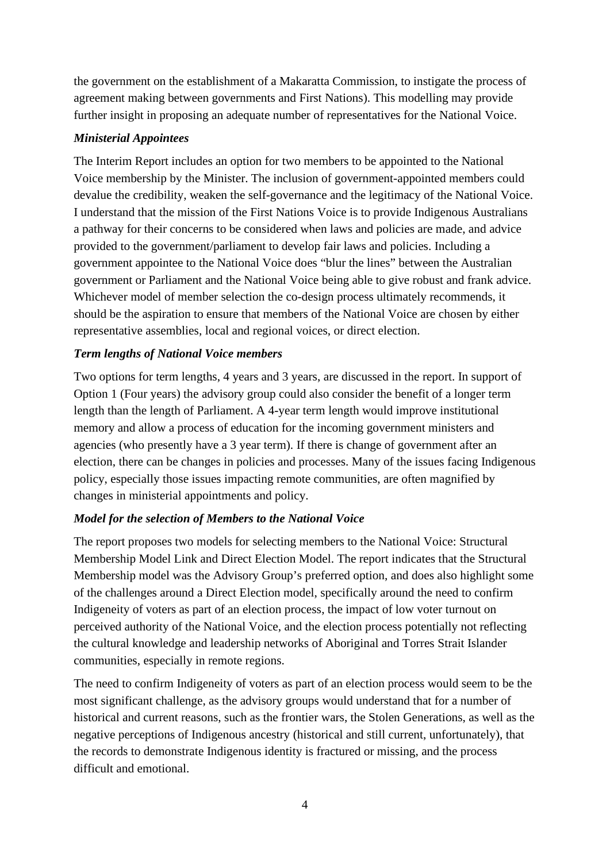the government on the establishment of a Makaratta Commission, to instigate the process of agreement making between governments and First Nations). This modelling may provide further insight in proposing an adequate number of representatives for the National Voice.

#### *Ministerial Appointees*

The Interim Report includes an option for two members to be appointed to the National Voice membership by the Minister. The inclusion of government-appointed members could devalue the credibility, weaken the self-governance and the legitimacy of the National Voice. I understand that the mission of the First Nations Voice is to provide Indigenous Australians a pathway for their concerns to be considered when laws and policies are made, and advice provided to the government/parliament to develop fair laws and policies. Including a government appointee to the National Voice does "blur the lines" between the Australian government or Parliament and the National Voice being able to give robust and frank advice. Whichever model of member selection the co-design process ultimately recommends, it should be the aspiration to ensure that members of the National Voice are chosen by either representative assemblies, local and regional voices, or direct election.

## *Term lengths of National Voice members*

Two options for term lengths, 4 years and 3 years, are discussed in the report. In support of Option 1 (Four years) the advisory group could also consider the benefit of a longer term length than the length of Parliament. A 4-year term length would improve institutional memory and allow a process of education for the incoming government ministers and agencies (who presently have a 3 year term). If there is change of government after an election, there can be changes in policies and processes. Many of the issues facing Indigenous policy, especially those issues impacting remote communities, are often magnified by changes in ministerial appointments and policy.

# *Model for the selection of Members to the National Voice*

The report proposes two models for selecting members to the National Voice: Structural Membership Model Link and Direct Election Model. The report indicates that the Structural Membership model was the Advisory Group's preferred option, and does also highlight some of the challenges around a Direct Election model, specifically around the need to confirm Indigeneity of voters as part of an election process, the impact of low voter turnout on perceived authority of the National Voice, and the election process potentially not reflecting the cultural knowledge and leadership networks of Aboriginal and Torres Strait Islander communities, especially in remote regions.

The need to confirm Indigeneity of voters as part of an election process would seem to be the most significant challenge, as the advisory groups would understand that for a number of historical and current reasons, such as the frontier wars, the Stolen Generations, as well as the negative perceptions of Indigenous ancestry (historical and still current, unfortunately), that the records to demonstrate Indigenous identity is fractured or missing, and the process difficult and emotional.